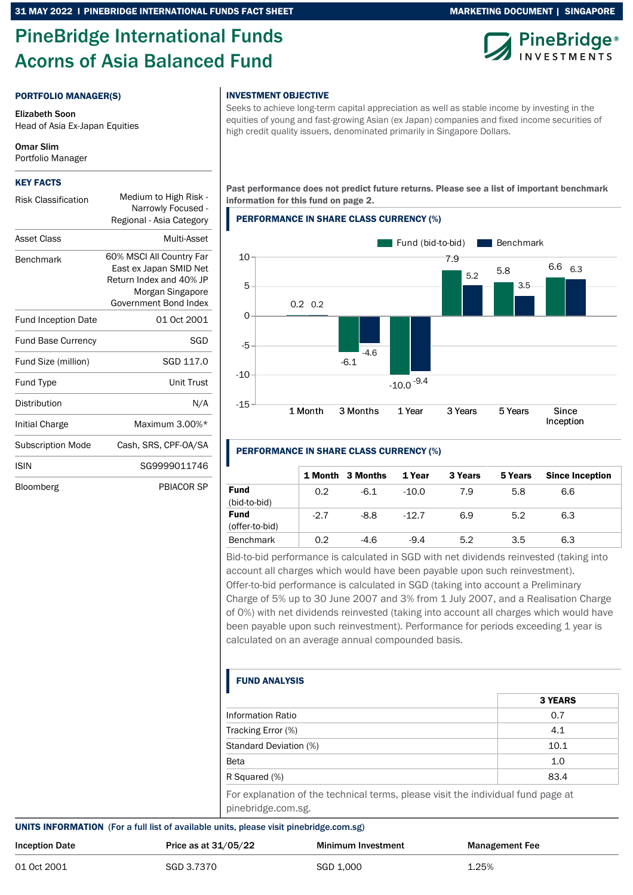# PineBridge International Funds Acorns of Asia Balanced Fund

# MARKETING DOCUMENT | SINGAPORE



### PORTFOLIO MANAGER(S)

Elizabeth Soon Head of Asia Ex-Japan Equities

Omar Slim Portfolio Manager

#### KEY FACTS

| <b>Risk Classification</b> | Medium to High Risk -<br>Narrowly Focused -<br>Regional - Asia Category                                                    |
|----------------------------|----------------------------------------------------------------------------------------------------------------------------|
| Asset Class                | Multi-Asset                                                                                                                |
| <b>Benchmark</b>           | 60% MSCI All Country Far<br>East ex Japan SMID Net<br>Return Index and 40% JP<br>Morgan Singapore<br>Government Bond Index |
| <b>Fund Inception Date</b> | 01 Oct 2001                                                                                                                |
| <b>Fund Base Currency</b>  | SGD                                                                                                                        |
| Fund Size (million)        | SGD 117.0                                                                                                                  |
| Fund Type                  | Unit Trust                                                                                                                 |
| Distribution               | N/A                                                                                                                        |
| Initial Charge             | Maximum 3.00%*                                                                                                             |
| <b>Subscription Mode</b>   | Cash, SRS, CPF-0A/SA                                                                                                       |
| <b>ISIN</b>                | SG9999011746                                                                                                               |
| Bloomberg                  | PBIACOR SP                                                                                                                 |

### INVESTMENT OBJECTIVE

Seeks to achieve long-term capital appreciation as well as stable income by investing in the equities of young and fast-growing Asian (ex Japan) companies and fixed income securities of high credit quality issuers, denominated primarily in Singapore Dollars.

Past performance does not predict future returns. Please see a list of important benchmark information for this fund on page 2.

### PERFORMANCE IN SHARE CLASS CURRENCY (%)



# PERFORMANCE IN SHARE CLASS CURRENCY (%)

|                               |        | 1 Month 3 Months | 1 Year  | 3 Years | 5 Years | <b>Since Inception</b> |
|-------------------------------|--------|------------------|---------|---------|---------|------------------------|
| <b>Fund</b><br>(bid-to-bid)   | 0.2    | $-6.1$           | $-10.0$ | 7.9     | 5.8     | 6.6                    |
| <b>Fund</b><br>(offer-to-bid) | $-2.7$ | $-8.8$           | $-12.7$ | 6.9     | 5.2     | 6.3                    |
| <b>Benchmark</b>              | 0.2    | $-4.6$           | $-9.4$  | 5.2     | 3.5     | 6.3                    |

Bid-to-bid performance is calculated in SGD with net dividends reinvested (taking into account all charges which would have been payable upon such reinvestment). Offer-to-bid performance is calculated in SGD (taking into account a Preliminary Charge of 5% up to 30 June 2007 and 3% from 1 July 2007, and a Realisation Charge of 0%) with net dividends reinvested (taking into account all charges which would have been payable upon such reinvestment). Performance for periods exceeding 1 year is calculated on an average annual compounded basis.

# FUND ANALYSIS

|                                                                                                        | <b>3 YEARS</b> |
|--------------------------------------------------------------------------------------------------------|----------------|
| Information Ratio                                                                                      | 0.7            |
| Tracking Error (%)                                                                                     | 4.1            |
| Standard Deviation (%)                                                                                 | 10.1           |
| <b>Beta</b>                                                                                            | 1.0            |
| R Squared (%)                                                                                          | 83.4           |
| For explanation of the technical terms, please visit the individual fund page at<br>pinebridge.com.sg. |                |

#### UNITS INFORMATION (For a full list of available units, please visit pinebridge.com.sg)

| <b>Inception Date</b> | Price as at $31/05/22$ | <b>Minimum Investment</b> | <b>Management Fee</b> |
|-----------------------|------------------------|---------------------------|-----------------------|
| 01 Oct 2001           | SGD 3.7370             | SGD 1.000                 | 1.25%                 |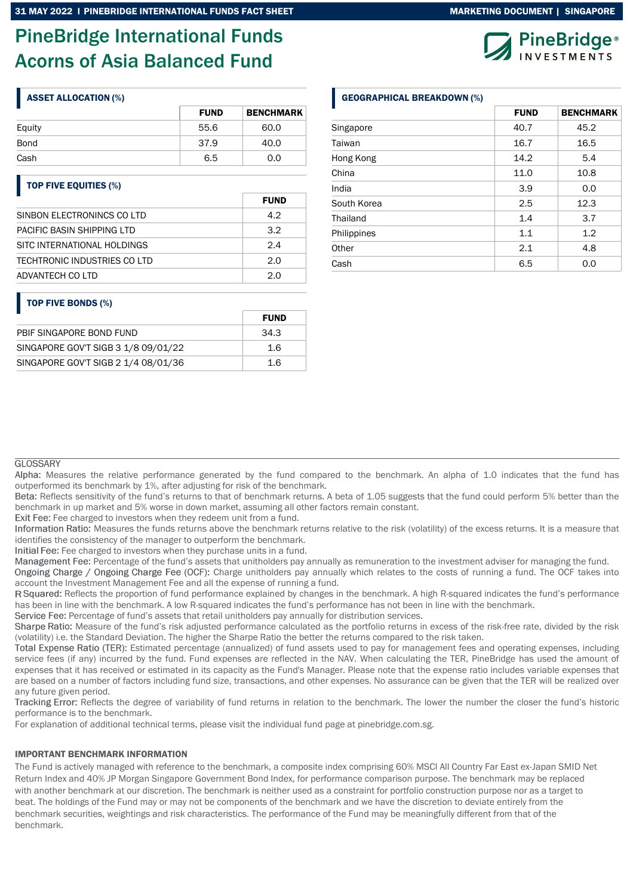# PineBridge International Funds Acorns of Asia Balanced Fund

|        | <b>FUND</b> | <b>BENCHMARK</b> |
|--------|-------------|------------------|
| Equity | 55.6        | 60.0             |
| Bond   | 37.9        | 40.0             |
| Cash   | 6.5         | 0.0              |

# TOP FIVE EQUITIES (%)

|                              | <b>FUND</b> |
|------------------------------|-------------|
| SINBON ELECTRONINCS CO LTD   | 4.2         |
| PACIFIC BASIN SHIPPING LTD   | 32          |
| SITC INTERNATIONAL HOLDINGS  | 24          |
| TECHTRONIC INDUSTRIES CO LTD | 2.0         |
| ADVANTECH CO LTD             | 2 0         |

# TOP FIVE BONDS (%)

|                                     | <b>FUND</b> |
|-------------------------------------|-------------|
| PBIF SINGAPORE BOND FUND            | .34.3       |
| SINGAPORE GOV'T SIGB 3 1/8 09/01/22 | 1.6         |
| SINGAPORE GOV'T SIGB 2 1/4 08/01/36 | 1.6         |

# ASSET ALLOCATION (%) GEOGRAPHICAL BREAKDOWN (%)

|             | <b>FUND</b> | <b>BENCHMARK</b> |
|-------------|-------------|------------------|
| Singapore   | 40.7        | 45.2             |
| Taiwan      | 16.7        | 16.5             |
| Hong Kong   | 14.2        | 5.4              |
| China       | 11.0        | 10.8             |
| India       | 3.9         | 0.0              |
| South Korea | 2.5         | 12.3             |
| Thailand    | 1.4         | 3.7              |
| Philippines | 1.1         | 1.2              |
| Other       | 2.1         | 4.8              |
| Cash        | 6.5         | 0.0              |

### **GLOSSARY**

Alpha: Measures the relative performance generated by the fund compared to the benchmark. An alpha of 1.0 indicates that the fund has outperformed its benchmark by 1%, after adjusting for risk of the benchmark.

Reflects sensitivity of the fund's returns to that of benchmark returns. A beta of 1.05 suggests that the fund could perform 5% better than the benchmark in up market and 5% worse in down market, assuming all other factors remain constant.

Exit Fee: Fee charged to investors when they redeem unit from a fund.

Information Ratio: Measures the funds returns above the benchmark returns relative to the risk (volatility) of the excess returns. It is a measure that identifies the consistency of the manager to outperform the benchmark.

Initial Fee: Fee charged to investors when they purchase units in a fund.

Management Fee: Percentage of the fund's assets that unitholders pay annually as remuneration to the investment adviser for managing the fund.

Ongoing Charge / Ongoing Charge Fee (OCF): Charge unitholders pay annually which relates to the costs of running a fund. The OCF takes into account the Investment Management Fee and all the expense of running a fund.

R Squared: Reflects the proportion of fund performance explained by changes in the benchmark. A high R-squared indicates the fund's performance has been in line with the benchmark. A low R-squared indicates the fund's performance has not been in line with the benchmark.

Service Fee: Percentage of fund's assets that retail unitholders pay annually for distribution services.

Sharpe Ratio: Measure of the fund's risk adjusted performance calculated as the portfolio returns in excess of the risk-free rate, divided by the risk (volatility) i.e. the Standard Deviation. The higher the Sharpe Ratio the better the returns compared to the risk taken.

Total Expense Ratio (TER): Estimated percentage (annualized) of fund assets used to pay for management fees and operating expenses, including service fees (if any) incurred by the fund. Fund expenses are reflected in the NAV. When calculating the TER, PineBridge has used the amount of expenses that it has received or estimated in its capacity as the Fund's Manager. Please note that the expense ratio includes variable expenses that are based on a number of factors including fund size, transactions, and other expenses. No assurance can be given that the TER will be realized over any future given period.

Tracking Error: Reflects the degree of variability of fund returns in relation to the benchmark. The lower the number the closer the fund's historic performance is to the benchmark.

For explanation of additional technical terms, please visit the individual fund page at pinebridge.com.sg.

## IMPORTANT BENCHMARK INFORMATION

The Fund is actively managed with reference to the benchmark, a composite index comprising 60% MSCI All Country Far East ex-Japan SMID Net Return Index and 40% JP Morgan Singapore Government Bond Index, for performance comparison purpose. The benchmark may be replaced with another benchmark at our discretion. The benchmark is neither used as a constraint for portfolio construction purpose nor as a target to beat. The holdings of the Fund may or may not be components of the benchmark and we have the discretion to deviate entirely from the benchmark securities, weightings and risk characteristics. The performance of the Fund may be meaningfully different from that of the benchmark.